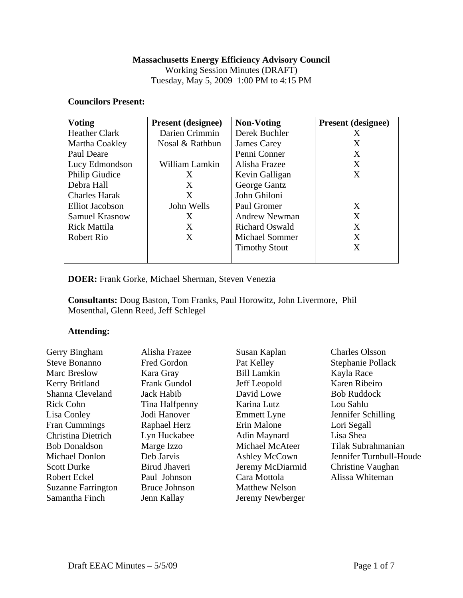## **Massachusetts Energy Efficiency Advisory Council**

Working Session Minutes (DRAFT) Tuesday, May 5, 2009 1:00 PM to 4:15 PM

### **Councilors Present:**

| <b>Voting</b>          | <b>Present (designee)</b> | <b>Non-Voting</b>     | <b>Present (designee)</b> |
|------------------------|---------------------------|-----------------------|---------------------------|
| <b>Heather Clark</b>   | Darien Crimmin            | Derek Buchler         | X                         |
| Martha Coakley         | Nosal & Rathbun           | James Carey           | X                         |
| Paul Deare             |                           | Penni Conner          | X                         |
| Lucy Edmondson         | William Lamkin            | Alisha Frazee         | X                         |
| Philip Giudice         | X                         | Kevin Galligan        | X                         |
| Debra Hall             | X                         | George Gantz          |                           |
| <b>Charles Harak</b>   | X                         | John Ghiloni          |                           |
| <b>Elliot Jacobson</b> | John Wells                | Paul Gromer           | X                         |
| <b>Samuel Krasnow</b>  | X                         | Andrew Newman         | X                         |
| <b>Rick Mattila</b>    | X                         | <b>Richard Oswald</b> | X                         |
| Robert Rio             | X                         | <b>Michael Sommer</b> | X                         |
|                        |                           | <b>Timothy Stout</b>  | X                         |
|                        |                           |                       |                           |

# **DOER:** Frank Gorke, Michael Sherman, Steven Venezia

**Consultants:** Doug Baston, Tom Franks, Paul Horowitz, John Livermore, Phil Mosenthal, Glenn Reed, Jeff Schlegel

#### **Attending:**

| Gerry Bingham             | Alisha Frazee        | Susan Kaplan          | <b>Charles Olsson</b>   |
|---------------------------|----------------------|-----------------------|-------------------------|
| <b>Steve Bonanno</b>      | Fred Gordon          | Pat Kelley            | Stephanie Pollack       |
| <b>Marc Breslow</b>       | Kara Gray            | <b>Bill Lamkin</b>    | Kayla Race              |
| Kerry Britland            | <b>Frank Gundol</b>  | Jeff Leopold          | Karen Ribeiro           |
| Shanna Cleveland          | Jack Habib           | David Lowe            | <b>Bob Ruddock</b>      |
| <b>Rick Cohn</b>          | Tina Halfpenny       | Karina Lutz           | Lou Sahlu               |
| Lisa Conley               | Jodi Hanover         | <b>Emmett Lyne</b>    | Jennifer Schilling      |
| Fran Cummings             | Raphael Herz         | Erin Malone           | Lori Segall             |
| Christina Dietrich        | Lyn Huckabee         | Adin Maynard          | Lisa Shea               |
| <b>Bob Donaldson</b>      | Marge Izzo           | Michael McAteer       | Tilak Subrahmanian      |
| Michael Donlon            | Deb Jarvis           | Ashley McCown         | Jennifer Turnbull-Houde |
| <b>Scott Durke</b>        | Birud Jhaveri        | Jeremy McDiarmid      | Christine Vaughan       |
| <b>Robert Eckel</b>       | Paul Johnson         | Cara Mottola          | Alissa Whiteman         |
| <b>Suzanne Farrington</b> | <b>Bruce Johnson</b> | <b>Matthew Nelson</b> |                         |
| Samantha Finch            | Jenn Kallay          | Jeremy Newberger      |                         |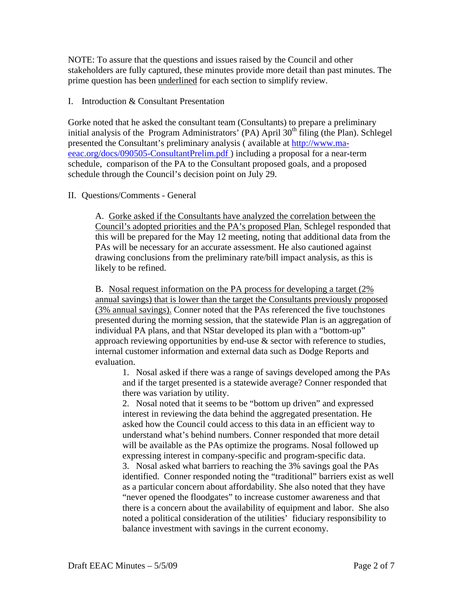NOTE: To assure that the questions and issues raised by the Council and other stakeholders are fully captured, these minutes provide more detail than past minutes. The prime question has been underlined for each section to simplify review.

## I. Introduction & Consultant Presentation

Gorke noted that he asked the consultant team (Consultants) to prepare a preliminary initial analysis of the Program Administrators' (PA) April  $30<sup>th</sup>$  filing (the Plan). Schlegel presented the Consultant's preliminary analysis ( available at http://www.maeeac.org/docs/090505-ConsultantPrelim.pdf ) including a proposal for a near-term schedule, comparison of the PA to the Consultant proposed goals, and a proposed schedule through the Council's decision point on July 29.

## II. Questions/Comments - General

A. Gorke asked if the Consultants have analyzed the correlation between the Council's adopted priorities and the PA's proposed Plan. Schlegel responded that this will be prepared for the May 12 meeting, noting that additional data from the PAs will be necessary for an accurate assessment. He also cautioned against drawing conclusions from the preliminary rate/bill impact analysis, as this is likely to be refined.

B. Nosal request information on the PA process for developing a target (2%) annual savings) that is lower than the target the Consultants previously proposed (3% annual savings). Conner noted that the PAs referenced the five touchstones presented during the morning session, that the statewide Plan is an aggregation of individual PA plans, and that NStar developed its plan with a "bottom-up" approach reviewing opportunities by end-use & sector with reference to studies, internal customer information and external data such as Dodge Reports and evaluation.

1. Nosal asked if there was a range of savings developed among the PAs and if the target presented is a statewide average? Conner responded that there was variation by utility.

2. Nosal noted that it seems to be "bottom up driven" and expressed interest in reviewing the data behind the aggregated presentation. He asked how the Council could access to this data in an efficient way to understand what's behind numbers. Conner responded that more detail will be available as the PAs optimize the programs. Nosal followed up expressing interest in company-specific and program-specific data.

3. Nosal asked what barriers to reaching the 3% savings goal the PAs identified. Conner responded noting the "traditional" barriers exist as well as a particular concern about affordability. She also noted that they have "never opened the floodgates" to increase customer awareness and that there is a concern about the availability of equipment and labor. She also noted a political consideration of the utilities' fiduciary responsibility to balance investment with savings in the current economy.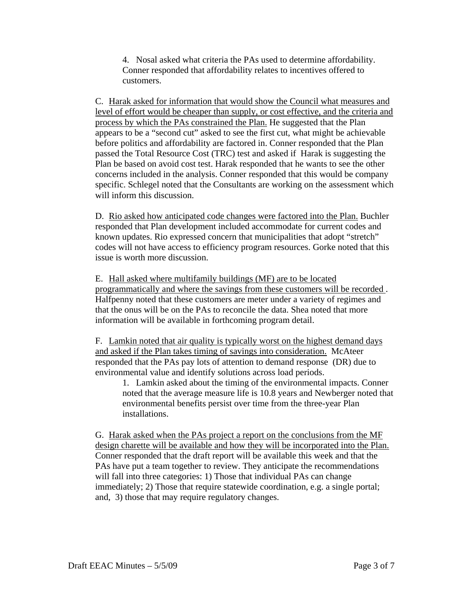4. Nosal asked what criteria the PAs used to determine affordability. Conner responded that affordability relates to incentives offered to customers.

C. Harak asked for information that would show the Council what measures and level of effort would be cheaper than supply, or cost effective, and the criteria and process by which the PAs constrained the Plan. He suggested that the Plan appears to be a "second cut" asked to see the first cut, what might be achievable before politics and affordability are factored in. Conner responded that the Plan passed the Total Resource Cost (TRC) test and asked if Harak is suggesting the Plan be based on avoid cost test. Harak responded that he wants to see the other concerns included in the analysis. Conner responded that this would be company specific. Schlegel noted that the Consultants are working on the assessment which will inform this discussion.

D. Rio asked how anticipated code changes were factored into the Plan. Buchler responded that Plan development included accommodate for current codes and known updates. Rio expressed concern that municipalities that adopt "stretch" codes will not have access to efficiency program resources. Gorke noted that this issue is worth more discussion.

E. Hall asked where multifamily buildings (MF) are to be located programmatically and where the savings from these customers will be recorded . Halfpenny noted that these customers are meter under a variety of regimes and that the onus will be on the PAs to reconcile the data. Shea noted that more information will be available in forthcoming program detail.

F. Lamkin noted that air quality is typically worst on the highest demand days and asked if the Plan takes timing of savings into consideration. McAteer responded that the PAs pay lots of attention to demand response (DR) due to environmental value and identify solutions across load periods.

1. Lamkin asked about the timing of the environmental impacts. Conner noted that the average measure life is 10.8 years and Newberger noted that environmental benefits persist over time from the three-year Plan installations.

G. Harak asked when the PAs project a report on the conclusions from the MF design charette will be available and how they will be incorporated into the Plan. Conner responded that the draft report will be available this week and that the PAs have put a team together to review. They anticipate the recommendations will fall into three categories: 1) Those that individual PAs can change immediately; 2) Those that require statewide coordination, e.g. a single portal; and, 3) those that may require regulatory changes.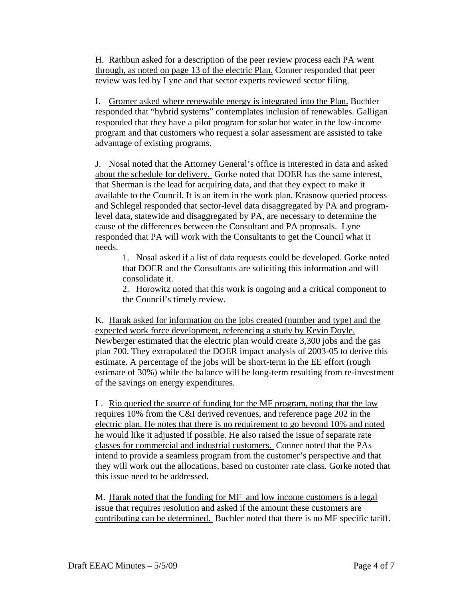H. Rathbun asked for a description of the peer review process each PA went through, as noted on page 13 of the electric Plan. Conner responded that peer review was led by Lyne and that sector experts reviewed sector filing.

I. Gromer asked where renewable energy is integrated into the Plan. Buchler responded that "hybrid systems" contemplates inclusion of renewables. Galligan responded that they have a pilot program for solar hot water in the low-income program and that customers who request a solar assessment are assisted to take advantage of existing programs.

J. Nosal noted that the Attorney General's office is interested in data and asked about the schedule for delivery. Gorke noted that DOER has the same interest, that Sherman is the lead for acquiring data, and that they expect to make it available to the Council. It is an item in the work plan. Krasnow queried process and Schlegel responded that sector-level data disaggregated by PA and programlevel data, statewide and disaggregated by PA, are necessary to determine the cause of the differences between the Consultant and PA proposals. Lyne responded that PA will work with the Consultants to get the Council what it needs.

1. Nosal asked if a list of data requests could be developed. Gorke noted that DOER and the Consultants are soliciting this information and will consolidate it.

2. Horowitz noted that this work is ongoing and a critical component to the Council's timely review.

K. Harak asked for information on the jobs created (number and type) and the expected work force development, referencing a study by Kevin Doyle. Newberger estimated that the electric plan would create 3,300 jobs and the gas plan 700. They extrapolated the DOER impact analysis of 2003-05 to derive this estimate. A percentage of the jobs will be short-term in the EE effort (rough estimate of 30%) while the balance will be long-term resulting from re-investment of the savings on energy expenditures.

L. Rio queried the source of funding for the MF program, noting that the law requires 10% from the C&I derived revenues, and reference page 202 in the electric plan. He notes that there is no requirement to go beyond 10% and noted he would like it adjusted if possible. He also raised the issue of separate rate classes for commercial and industrial customers. Conner noted that the PAs intend to provide a seamless program from the customer's perspective and that they will work out the allocations, based on customer rate class. Gorke noted that this issue need to be addressed.

M. Harak noted that the funding for MF and low income customers is a legal issue that requires resolution and asked if the amount these customers are contributing can be determined. Buchler noted that there is no MF specific tariff.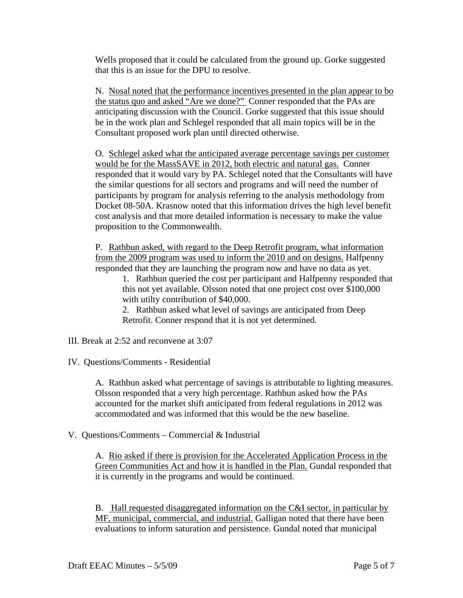Wells proposed that it could be calculated from the ground up. Gorke suggested that this is an issue for the DPU to resolve.

N. Nosal noted that the performance incentives presented in the plan appear to bo the status quo and asked "Are we done?" Conner responded that the PAs are anticipating discussion with the Council. Gorke suggested that this issue should be in the work plan and Schlegel responded that all main topics will be in the Consultant proposed work plan until directed otherwise.

O. Schlegel asked what the anticipated average percentage savings per customer would be for the MassSAVE in 2012, both electric and natural gas. Conner responded that it would vary by PA. Schlegel noted that the Consultants will have the similar questions for all sectors and programs and will need the number of participants by program for analysis referring to the analysis methodology from Docket 08-50A. Krasnow noted that this information drives the high level benefit cost analysis and that more detailed information is necessary to make the value proposition to the Commonwealth.

P. Rathbun asked, with regard to the Deep Retrofit program, what information from the 2009 program was used to inform the 2010 and on designs. Halfpenny responded that they are launching the program now and have no data as yet.

1. Rathbun queried the cost per participant and Halfpenny responded that this not yet available. Olsson noted that one project cost over \$100,000 with utilty contribution of \$40,000.

2. Rathbun asked what level of savings are anticipated from Deep Retrofit. Conner respond that it is not yet determined.

III. Break at 2:52 and reconvene at 3:07

IV. Questions/Comments - Residential

A. Rathbun asked what percentage of savings is attributable to lighting measures. Olsson responded that a very high percentage. Rathbun asked how the PAs accounted for the market shift anticipated from federal regulations in 2012 was accommodated and was informed that this would be the new baseline.

V. Questions/Comments – Commercial & Industrial

A. Rio asked if there is provision for the Accelerated Application Process in the Green Communities Act and how it is handled in the Plan. Gundal responded that it is currently in the programs and would be continued.

B. Hall requested disaggregated information on the C&I sector, in particular by MF, municipal, commercial, and industrial. Galligan noted that there have been evaluations to inform saturation and persistence. Gundal noted that municipal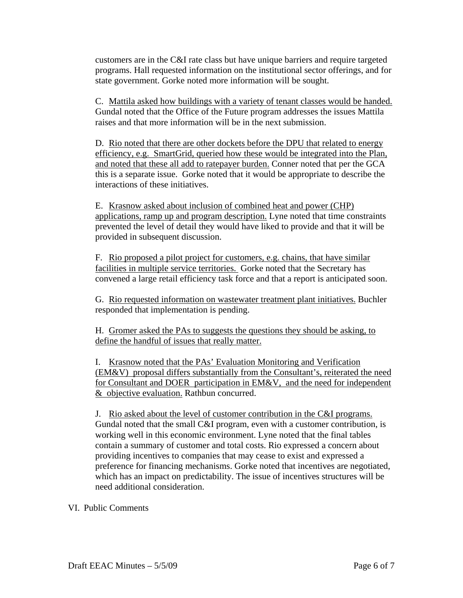customers are in the C&I rate class but have unique barriers and require targeted programs. Hall requested information on the institutional sector offerings, and for state government. Gorke noted more information will be sought.

C. Mattila asked how buildings with a variety of tenant classes would be handed. Gundal noted that the Office of the Future program addresses the issues Mattila raises and that more information will be in the next submission.

D. Rio noted that there are other dockets before the DPU that related to energy efficiency, e.g. SmartGrid, queried how these would be integrated into the Plan, and noted that these all add to ratepayer burden. Conner noted that per the GCA this is a separate issue. Gorke noted that it would be appropriate to describe the interactions of these initiatives.

E. Krasnow asked about inclusion of combined heat and power (CHP) applications, ramp up and program description. Lyne noted that time constraints prevented the level of detail they would have liked to provide and that it will be provided in subsequent discussion.

F. Rio proposed a pilot project for customers, e.g. chains, that have similar facilities in multiple service territories. Gorke noted that the Secretary has convened a large retail efficiency task force and that a report is anticipated soon.

G. Rio requested information on wastewater treatment plant initiatives. Buchler responded that implementation is pending.

H. Gromer asked the PAs to suggests the questions they should be asking, to define the handful of issues that really matter.

I. Krasnow noted that the PAs' Evaluation Monitoring and Verification (EM&V) proposal differs substantially from the Consultant's, reiterated the need for Consultant and DOER participation in EM&V, and the need for independent & objective evaluation. Rathbun concurred.

J. Rio asked about the level of customer contribution in the C&I programs. Gundal noted that the small C&I program, even with a customer contribution, is working well in this economic environment. Lyne noted that the final tables contain a summary of customer and total costs. Rio expressed a concern about providing incentives to companies that may cease to exist and expressed a preference for financing mechanisms. Gorke noted that incentives are negotiated, which has an impact on predictability. The issue of incentives structures will be need additional consideration.

VI. Public Comments